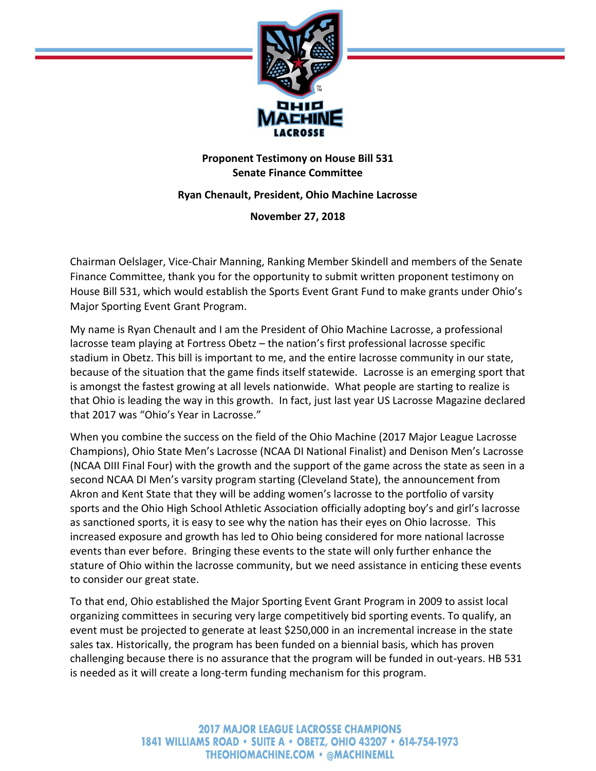

## **Proponent Testimony on House Bill 531 Senate Finance Committee**

## **Ryan Chenault, President, Ohio Machine Lacrosse**

**November 27, 2018**

Chairman Oelslager, Vice-Chair Manning, Ranking Member Skindell and members of the Senate Finance Committee, thank you for the opportunity to submit written proponent testimony on House Bill 531, which would establish the Sports Event Grant Fund to make grants under Ohio's Major Sporting Event Grant Program.

My name is Ryan Chenault and I am the President of Ohio Machine Lacrosse, a professional lacrosse team playing at Fortress Obetz – the nation's first professional lacrosse specific stadium in Obetz. This bill is important to me, and the entire lacrosse community in our state, because of the situation that the game finds itself statewide. Lacrosse is an emerging sport that is amongst the fastest growing at all levels nationwide. What people are starting to realize is that Ohio is leading the way in this growth. In fact, just last year US Lacrosse Magazine declared that 2017 was "Ohio's Year in Lacrosse."

When you combine the success on the field of the Ohio Machine (2017 Major League Lacrosse Champions), Ohio State Men's Lacrosse (NCAA DI National Finalist) and Denison Men's Lacrosse (NCAA DIII Final Four) with the growth and the support of the game across the state as seen in a second NCAA DI Men's varsity program starting (Cleveland State), the announcement from Akron and Kent State that they will be adding women's lacrosse to the portfolio of varsity sports and the Ohio High School Athletic Association officially adopting boy's and girl's lacrosse as sanctioned sports, it is easy to see why the nation has their eyes on Ohio lacrosse. This increased exposure and growth has led to Ohio being considered for more national lacrosse events than ever before. Bringing these events to the state will only further enhance the stature of Ohio within the lacrosse community, but we need assistance in enticing these events to consider our great state.

To that end, Ohio established the Major Sporting Event Grant Program in 2009 to assist local organizing committees in securing very large competitively bid sporting events. To qualify, an event must be projected to generate at least \$250,000 in an incremental increase in the state sales tax. Historically, the program has been funded on a biennial basis, which has proven challenging because there is no assurance that the program will be funded in out-years. HB 531 is needed as it will create a long-term funding mechanism for this program.

> **2017 MAJOR LEAGUE LACROSSE CHAMPIONS** 1841 WILLIAMS ROAD • SUITE A • OBETZ, OHIO 43207 • 614-754-1973 **THEOHIOMACHINE.COM • @MACHINEMLL**